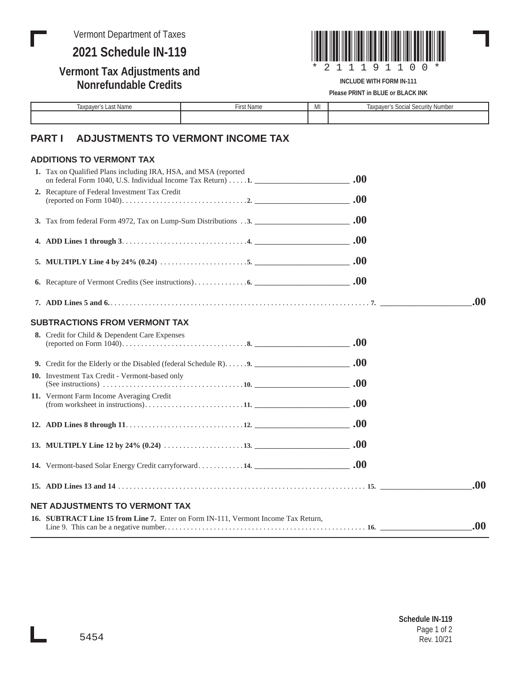Vermont Department of Taxes

## **2021 Schedule IN-119**

## **Vermont Tax Adjustments and Nonrefundable Credits**



**INCLUDE WITH FORM IN-111** Page **5** \*211191100\*

**Please PRINT in BLUE or BLACK INK**

| . .<br>iaxpaver's<br>ิ ast Name | irst Name<br>$-$ | <b>A</b> 41<br><b>IVII</b> | : Number<br>. $\sim$ $\sim$ $\sim$ $\sim$ $\sim$<br>, Social Security '<br>laxpayer's |
|---------------------------------|------------------|----------------------------|---------------------------------------------------------------------------------------|
|                                 |                  |                            |                                                                                       |

## **PART I ADJUSTMENTS TO VERMONT INCOME TAX**

## **ADDITIONS TO VERMONT TAX**

| 1. Tax on Qualified Plans including IRA, HSA, and MSA (reported                    |      |
|------------------------------------------------------------------------------------|------|
| 2. Recapture of Federal Investment Tax Credit                                      |      |
| 3. Tax from federal Form 4972, Tax on Lump-Sum Distributions3. $\_\_\_\_\_\_\_$    |      |
|                                                                                    |      |
|                                                                                    |      |
|                                                                                    |      |
|                                                                                    | .00. |
| <b>SUBTRACTIONS FROM VERMONT TAX</b>                                               |      |
| 8. Credit for Child & Dependent Care Expenses                                      |      |
| 9. Credit for the Elderly or the Disabled (federal Schedule R)9.                   |      |
| 10. Investment Tax Credit - Vermont-based only                                     |      |
| 11. Vermont Farm Income Averaging Credit                                           |      |
|                                                                                    |      |
|                                                                                    |      |
|                                                                                    |      |
|                                                                                    | .00. |
| <b>NET ADJUSTMENTS TO VERMONT TAX</b>                                              |      |
| 16. SUBTRACT Line 15 from Line 7. Enter on Form IN-111, Vermont Income Tax Return, | .00  |